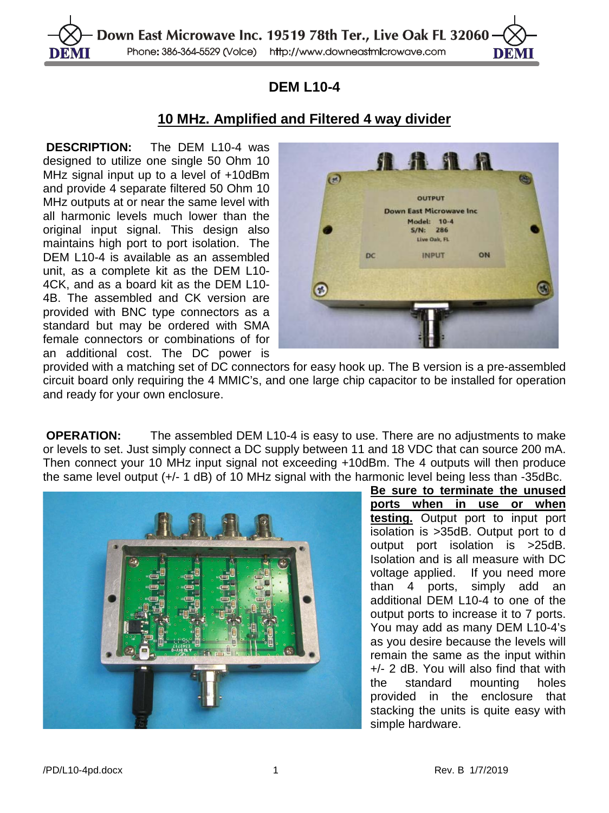

## **DEM L10-4**

## **10 MHz. Amplified and Filtered 4 way divider**

**DESCRIPTION:** The DEM L10-4 was designed to utilize one single 50 Ohm 10 MHz signal input up to a level of +10dBm and provide 4 separate filtered 50 Ohm 10 MHz outputs at or near the same level with all harmonic levels much lower than the original input signal. This design also maintains high port to port isolation. The DEM L10-4 is available as an assembled unit, as a complete kit as the DEM L10- 4CK, and as a board kit as the DEM L10- 4B. The assembled and CK version are provided with BNC type connectors as a standard but may be ordered with SMA female connectors or combinations of for an additional cost. The DC power is



provided with a matching set of DC connectors for easy hook up. The B version is a pre-assembled circuit board only requiring the 4 MMIC's, and one large chip capacitor to be installed for operation and ready for your own enclosure.

**OPERATION:** The assembled DEM L10-4 is easy to use. There are no adjustments to make or levels to set. Just simply connect a DC supply between 11 and 18 VDC that can source 200 mA. Then connect your 10 MHz input signal not exceeding +10dBm. The 4 outputs will then produce the same level output (+/- 1 dB) of 10 MHz signal with the harmonic level being less than -35dBc.



**Be sure to terminate the unused ports when in use or when testing.** Output port to input port isolation is >35dB. Output port to d output port isolation is >25dB. Isolation and is all measure with DC voltage applied. If you need more than 4 ports, simply add an additional DEM L10-4 to one of the output ports to increase it to 7 ports. You may add as many DEM L10-4's as you desire because the levels will remain the same as the input within +/- 2 dB. You will also find that with the standard mounting holes provided in the enclosure that stacking the units is quite easy with simple hardware.